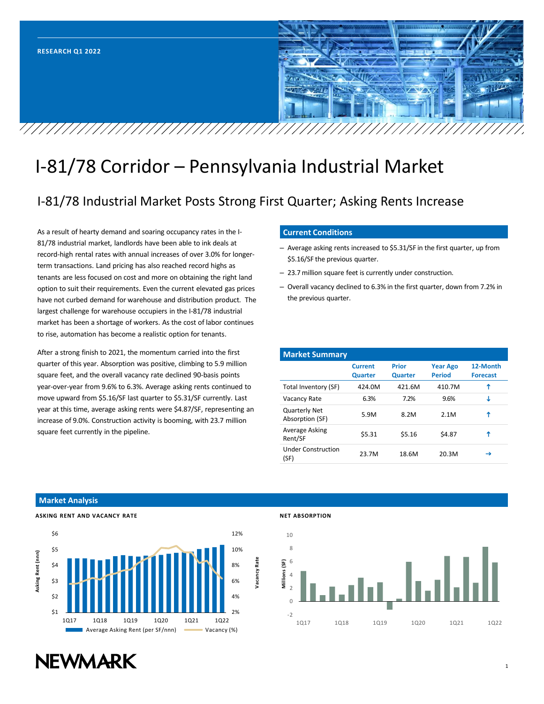

## I-81/78 Corridor – Pennsylvania Industrial Market

### I-81/78 Industrial Market Posts Strong First Quarter; Asking Rents Increase

As a result of hearty demand and soaring occupancy rates in the I-81/78 industrial market, landlords have been able to ink deals at record-high rental rates with annual increases of over 3.0% for longerterm transactions. Land pricing has also reached record highs as tenants are less focused on cost and more on obtaining the right land option to suit their requirements. Even the current elevated gas prices have not curbed demand for warehouse and distribution product. The largest challenge for warehouse occupiers in the I-81/78 industrial market has been a shortage of workers. As the cost of labor continues to rise, automation has become a realistic option for tenants.

After a strong finish to 2021, the momentum carried into the first quarter of this year. Absorption was positive, climbing to 5.9 million square feet, and the overall vacancy rate declined 90-basis points year-over-year from 9.6% to 6.3%. Average asking rents continued to move upward from \$5.16/SF last quarter to \$5.31/SF currently. Last year at this time, average asking rents were \$4.87/SF, representing an increase of 9.0%. Construction activity is booming, with 23.7 million square feet currently in the pipeline.

#### **Current Conditions**

- Average asking rents increased to \$5.31/SF in the first quarter, up from \$5.16/SF the previous quarter.
- 23.7 million square feet is currently under construction.
- Overall vacancy declined to 6.3% in the first quarter, down from 7.2% in the previous quarter.

| <b>Market Summary</b>                   |                                  |                                |                                  |                             |
|-----------------------------------------|----------------------------------|--------------------------------|----------------------------------|-----------------------------|
|                                         | <b>Current</b><br><b>Quarter</b> | <b>Prior</b><br><b>Quarter</b> | <b>Year Ago</b><br><b>Period</b> | 12-Month<br><b>Forecast</b> |
| Total Inventory (SF)                    | 424.0M                           | 421.6M                         | 410.7M                           | ↑                           |
| Vacancy Rate                            | 6.3%                             | 7.2%                           | 9.6%                             | J                           |
| <b>Quarterly Net</b><br>Absorption (SF) | 5.9M                             | 8.2M                           | 2.1M                             | ↑                           |
| Average Asking<br>Rent/SF               | \$5.31                           | \$5.16                         | \$4.87                           | ↑                           |
| <b>Under Construction</b><br>(SF)       | 23.7M                            | 18.6M                          | 20.3M                            | →                           |

#### **Market Analysis**



#### **NET ABSORPTION**



# **NEWMARK**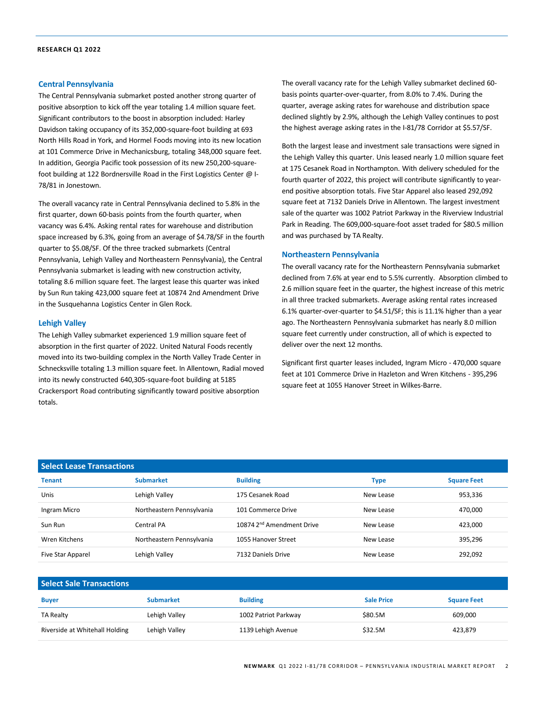#### **Central Pennsylvania**

The Central Pennsylvania submarket posted another strong quarter of positive absorption to kick off the year totaling 1.4 million square feet. Significant contributors to the boost in absorption included: Harley Davidson taking occupancy of its 352,000-square-foot building at 693 North Hills Road in York, and Hormel Foods moving into its new location at 101 Commerce Drive in Mechanicsburg, totaling 348,000 square feet. In addition, Georgia Pacific took possession of its new 250,200-squarefoot building at 122 Bordnersville Road in the First Logistics Center @ I-78/81 in Jonestown.

The overall vacancy rate in Central Pennsylvania declined to 5.8% in the first quarter, down 60-basis points from the fourth quarter, when vacancy was 6.4%. Asking rental rates for warehouse and distribution space increased by 6.3%, going from an average of \$4.78/SF in the fourth quarter to \$5.08/SF. Of the three tracked submarkets (Central Pennsylvania, Lehigh Valley and Northeastern Pennsylvania), the Central Pennsylvania submarket is leading with new construction activity, totaling 8.6 million square feet. The largest lease this quarter was inked by Sun Run taking 423,000 square feet at 10874 2nd Amendment Drive in the Susquehanna Logistics Center in Glen Rock.

#### **Lehigh Valley**

The Lehigh Valley submarket experienced 1.9 million square feet of absorption in the first quarter of 2022. United Natural Foods recently moved into its two-building complex in the North Valley Trade Center in Schnecksville totaling 1.3 million square feet. In Allentown, Radial moved into its newly constructed 640,305-square-foot building at 5185 Crackersport Road contributing significantly toward positive absorption totals.

The overall vacancy rate for the Lehigh Valley submarket declined 60 basis points quarter-over-quarter, from 8.0% to 7.4%. During the quarter, average asking rates for warehouse and distribution space declined slightly by 2.9%, although the Lehigh Valley continues to post the highest average asking rates in the I-81/78 Corridor at \$5.57/SF.

Both the largest lease and investment sale transactions were signed in the Lehigh Valley this quarter. Unis leased nearly 1.0 million square feet at 175 Cesanek Road in Northampton. With delivery scheduled for the fourth quarter of 2022, this project will contribute significantly to yearend positive absorption totals. Five Star Apparel also leased 292,092 square feet at 7132 Daniels Drive in Allentown. The largest investment sale of the quarter was 1002 Patriot Parkway in the Riverview Industrial Park in Reading. The 609,000-square-foot asset traded for \$80.5 million and was purchased by TA Realty.

#### **Northeastern Pennsylvania**

The overall vacancy rate for the Northeastern Pennsylvania submarket declined from 7.6% at year end to 5.5% currently. Absorption climbed to 2.6 million square feet in the quarter, the highest increase of this metric in all three tracked submarkets. Average asking rental rates increased 6.1% quarter-over-quarter to \$4.51/SF; this is 11.1% higher than a year ago. The Northeastern Pennsylvania submarket has nearly 8.0 million square feet currently under construction, all of which is expected to deliver over the next 12 months.

Significant first quarter leases included, Ingram Micro - 470,000 square feet at 101 Commerce Drive in Hazleton and Wren Kitchens - 395,296 square feet at 1055 Hanover Street in Wilkes-Barre.

| <b>Select Lease Transactions</b> |                           |                                       |             |                    |  |  |  |
|----------------------------------|---------------------------|---------------------------------------|-------------|--------------------|--|--|--|
| <b>Tenant</b>                    | <b>Submarket</b>          | <b>Building</b>                       | <b>Type</b> | <b>Square Feet</b> |  |  |  |
| Unis                             | Lehigh Valley             | 175 Cesanek Road                      | New Lease   | 953,336            |  |  |  |
| Ingram Micro                     | Northeastern Pennsylvania | 101 Commerce Drive                    | New Lease   | 470,000            |  |  |  |
| Sun Run                          | Central PA                | 10874 2 <sup>nd</sup> Amendment Drive | New Lease   | 423,000            |  |  |  |
| Wren Kitchens                    | Northeastern Pennsylvania | 1055 Hanover Street                   | New Lease   | 395,296            |  |  |  |
| Five Star Apparel                | Lehigh Valley             | 7132 Daniels Drive                    | New Lease   | 292,092            |  |  |  |

| Select Sale Transactions       |                  |                      |                   |                    |  |  |  |
|--------------------------------|------------------|----------------------|-------------------|--------------------|--|--|--|
| <b>Buyer</b>                   | <b>Submarket</b> | <b>Building</b>      | <b>Sale Price</b> | <b>Square Feet</b> |  |  |  |
| <b>TA Realty</b>               | Lehigh Valley    | 1002 Patriot Parkway | \$80.5M           | 609.000            |  |  |  |
| Riverside at Whitehall Holding | Lehigh Valley    | 1139 Lehigh Avenue   | \$32.5M           | 423,879            |  |  |  |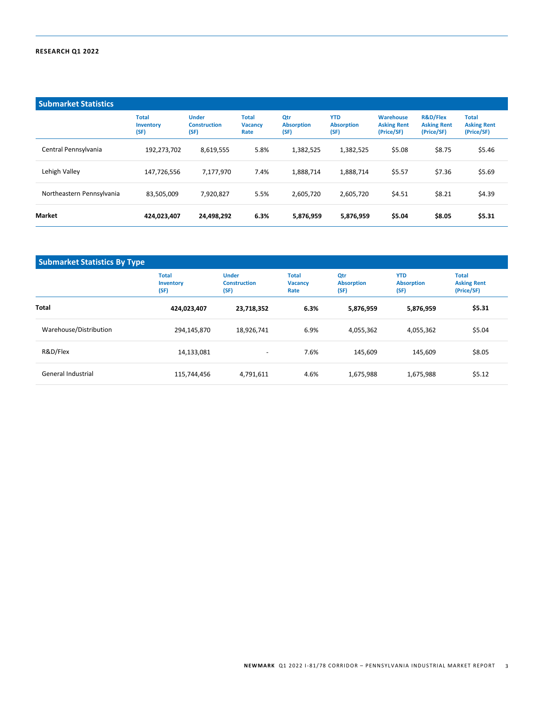| <b>Submarket Statistics</b> |                                   |                                             |                                        |                                  |                                         |                                               |                                                         |                                                  |
|-----------------------------|-----------------------------------|---------------------------------------------|----------------------------------------|----------------------------------|-----------------------------------------|-----------------------------------------------|---------------------------------------------------------|--------------------------------------------------|
|                             | <b>Total</b><br>Inventory<br>(SF) | <b>Under</b><br><b>Construction</b><br>(SF) | <b>Total</b><br><b>Vacancy</b><br>Rate | Otr<br><b>Absorption</b><br>(SF) | <b>YTD</b><br><b>Absorption</b><br>(SF) | Warehouse<br><b>Asking Rent</b><br>(Price/SF) | <b>R&amp;D/Flex</b><br><b>Asking Rent</b><br>(Price/SF) | <b>Total</b><br><b>Asking Rent</b><br>(Price/SF) |
| Central Pennsylvania        | 192,273,702                       | 8,619,555                                   | 5.8%                                   | 1,382,525                        | 1,382,525                               | \$5.08                                        | \$8.75                                                  | \$5.46                                           |
| Lehigh Valley               | 147,726,556                       | 7,177,970                                   | 7.4%                                   | 1,888,714                        | 1,888,714                               | \$5.57                                        | \$7.36                                                  | \$5.69                                           |
| Northeastern Pennsylvania   | 83,505,009                        | 7,920,827                                   | 5.5%                                   | 2,605,720                        | 2,605,720                               | \$4.51                                        | \$8.21                                                  | \$4.39                                           |
| <b>Market</b>               | 424,023,407                       | 24,498,292                                  | 6.3%                                   | 5,876,959                        | 5,876,959                               | \$5.04                                        | \$8.05                                                  | \$5.31                                           |

| <b>Submarket Statistics By Type</b> |                                   |                                             |                                        |                                  |                                         |                                                  |  |
|-------------------------------------|-----------------------------------|---------------------------------------------|----------------------------------------|----------------------------------|-----------------------------------------|--------------------------------------------------|--|
|                                     | <b>Total</b><br>Inventory<br>(SF) | <b>Under</b><br><b>Construction</b><br>(SF) | <b>Total</b><br><b>Vacancy</b><br>Rate | Qtr<br><b>Absorption</b><br>(SF) | <b>YTD</b><br><b>Absorption</b><br>(SF) | <b>Total</b><br><b>Asking Rent</b><br>(Price/SF) |  |
| <b>Total</b>                        | 424,023,407                       | 23,718,352                                  | 6.3%                                   | 5,876,959                        | 5,876,959                               | \$5.31                                           |  |
| Warehouse/Distribution              | 294,145,870                       | 18,926,741                                  | 6.9%                                   | 4,055,362                        | 4,055,362                               | \$5.04                                           |  |
| R&D/Flex                            | 14,133,081                        | $\overline{\phantom{a}}$                    | 7.6%                                   | 145.609                          | 145,609                                 | \$8.05                                           |  |
| General Industrial                  | 115,744,456                       | 4,791,611                                   | 4.6%                                   | 1,675,988                        | 1,675,988                               | \$5.12                                           |  |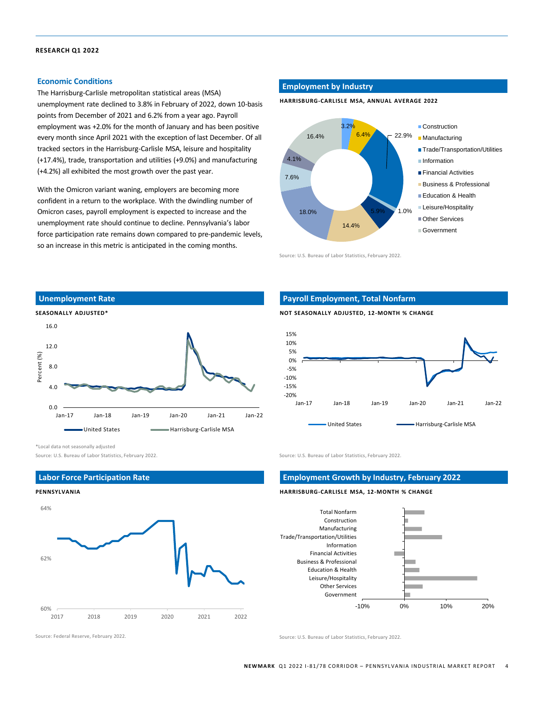#### **Economic Conditions**

The Harrisburg-Carlisle metropolitan statistical areas (MSA) unemployment rate declined to 3.8% in February of 2022, down 10-basis points from December of 2021 and 6.2% from a year ago. Payroll employment was +2.0% for the month of January and has been positive every month since April 2021 with the exception of last December. Of all tracked sectors in the Harrisburg-Carlisle MSA, leisure and hospitality (+17.4%), trade, transportation and utilities (+9.0%) and manufacturing (+4.2%) all exhibited the most growth over the past year.

With the Omicron variant waning, employers are becoming more confident in a return to the workplace. With the dwindling number of Omicron cases, payroll employment is expected to increase and the unemployment rate should continue to decline. Pennsylvania's labor force participation rate remains down compared to pre-pandemic levels, so an increase in this metric is anticipated in the coming months.

#### **Employment by Industry**

**HARRISBURG-CARLISLE MSA, ANNUAL AVERAGE 2022**



Source: U.S. Bureau of Labor Statistics, February 2022.



#### **Payroll Employment, Total Nonfarm**

**NOT SEASONALLY ADJUSTED, 12-MONTH % CHANGE**



Source: U.S. Bureau of Labor Statistics, February 2022. Source: U.S. Bureau of Labor Statistics, February 2022.

#### **Employment Growth by Industry, February 2022**

#### **HARRISBURG-CARLISLE MSA, 12-MONTH % CHANGE**



Source: Federal Reserve, February 2022. Source: U.S. Bureau of Labor Statistics, February 2022.

\*Local data not seasonally adjusted

#### **Labor Force Participation Rate**

#### **PENNSYLVANIA**